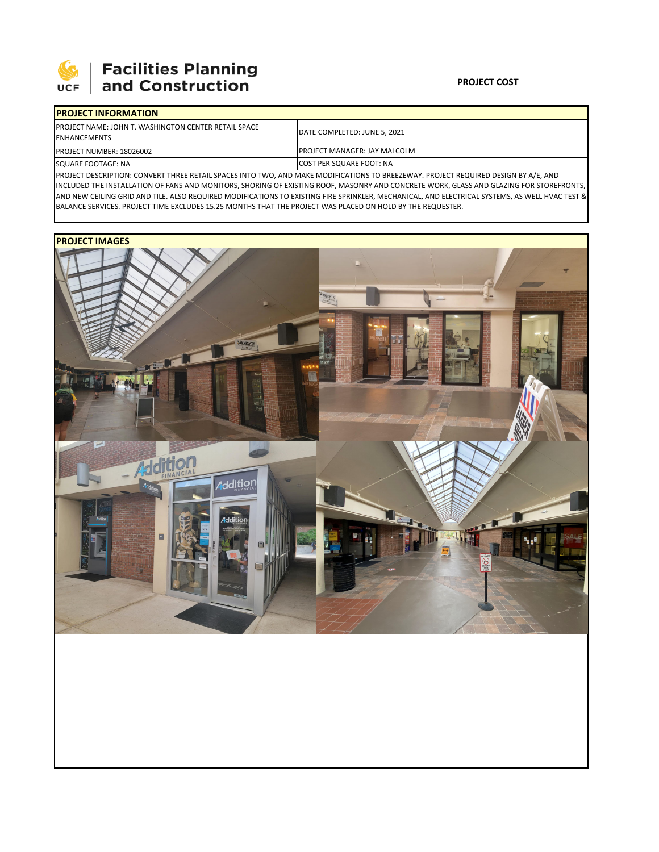

| <b>IPROJECT INFORMATION</b>                                                                                                        |                                      |  |  |  |
|------------------------------------------------------------------------------------------------------------------------------------|--------------------------------------|--|--|--|
| <b>IPROJECT NAME: JOHN T. WASHINGTON CENTER RETAIL SPACE</b><br><b>IENHANCEMENTS</b>                                               | <b>IDATE COMPLETED: JUNE 5. 2021</b> |  |  |  |
| <b>PROJECT NUMBER: 18026002</b>                                                                                                    | <b>IPROJECT MANAGER: JAY MALCOLM</b> |  |  |  |
| SQUARE FOOTAGE: NA                                                                                                                 | <b>ICOST PER SQUARE FOOT: NA</b>     |  |  |  |
| BROICED BECOURTION. CONVERTINGER BETAIL CRACE INTO THIO, AND MAKE MODIFICATIONS TO BREEZEWAY, BROICED BEQUIRED BESICN BY A (E. AND |                                      |  |  |  |

PROJECT DESCRIPTION: CONVERT THREE RETAIL SPACES INTO TWO, AND MAKE MODIFICATIONS TO BREEZEWAY. PROJECT REQUIRED DESIGN BY A/E, AND INCLUDED THE INSTALLATION OF FANS AND MONITORS, SHORING OF EXISTING ROOF, MASONRY AND CONCRETE WORK, GLASS AND GLAZING FOR STOREFRONTS, AND NEW CEILING GRID AND TILE. ALSO REQUIRED MODIFICATIONS TO EXISTING FIRE SPRINKLER, MECHANICAL, AND ELECTRICAL SYSTEMS, AS WELL HVAC TEST & BALANCE SERVICES. PROJECT TIME EXCLUDES 15.25 MONTHS THAT THE PROJECT WAS PLACED ON HOLD BY THE REQUESTER.